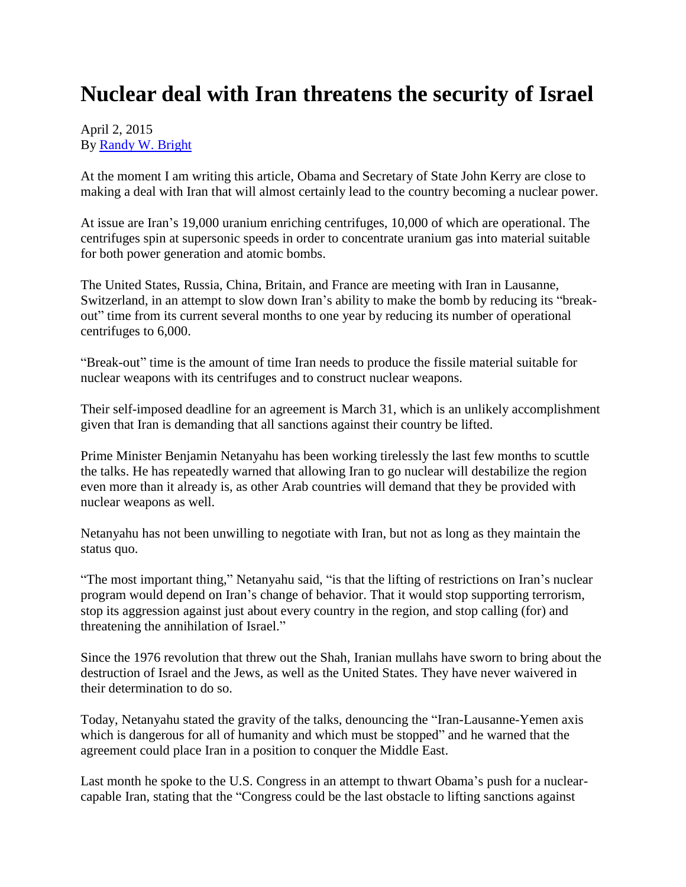## **Nuclear deal with Iran threatens the security of Israel**

## April 2, 2015 By [Randy W. Bright](http://www.tulsabeacon.com/author/slug-o6yd1v)

At the moment I am writing this article, Obama and Secretary of State John Kerry are close to making a deal with Iran that will almost certainly lead to the country becoming a nuclear power.

At issue are Iran's 19,000 uranium enriching centrifuges, 10,000 of which are operational. The centrifuges spin at supersonic speeds in order to concentrate uranium gas into material suitable for both power generation and atomic bombs.

The United States, Russia, China, Britain, and France are meeting with Iran in Lausanne, Switzerland, in an attempt to slow down Iran's ability to make the bomb by reducing its "breakout" time from its current several months to one year by reducing its number of operational centrifuges to 6,000.

"Break-out" time is the amount of time Iran needs to produce the fissile material suitable for nuclear weapons with its centrifuges and to construct nuclear weapons.

Their self-imposed deadline for an agreement is March 31, which is an unlikely accomplishment given that Iran is demanding that all sanctions against their country be lifted.

Prime Minister Benjamin Netanyahu has been working tirelessly the last few months to scuttle the talks. He has repeatedly warned that allowing Iran to go nuclear will destabilize the region even more than it already is, as other Arab countries will demand that they be provided with nuclear weapons as well.

Netanyahu has not been unwilling to negotiate with Iran, but not as long as they maintain the status quo.

"The most important thing," Netanyahu said, "is that the lifting of restrictions on Iran's nuclear program would depend on Iran's change of behavior. That it would stop supporting terrorism, stop its aggression against just about every country in the region, and stop calling (for) and threatening the annihilation of Israel."

Since the 1976 revolution that threw out the Shah, Iranian mullahs have sworn to bring about the destruction of Israel and the Jews, as well as the United States. They have never waivered in their determination to do so.

Today, Netanyahu stated the gravity of the talks, denouncing the "Iran-Lausanne-Yemen axis which is dangerous for all of humanity and which must be stopped" and he warned that the agreement could place Iran in a position to conquer the Middle East.

Last month he spoke to the U.S. Congress in an attempt to thwart Obama's push for a nuclearcapable Iran, stating that the "Congress could be the last obstacle to lifting sanctions against